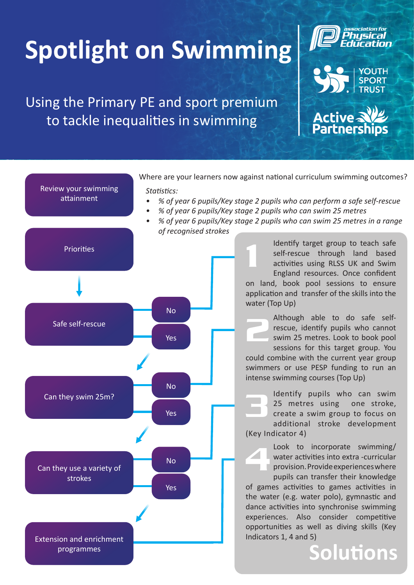## **Spotlight on Swimming**

Using the Primary PE and sport premium to tackle inequalities in swimming

Review your swimming attainment





**Active Strate**<br>Partnersh Where are your learners now against national curriculum swimming outcomes? *Statistics: • % of year 6 pupils/Key stage 2 pupils who can perform a safe self-rescue • % of year 6 pupils/Key stage 2 pupils who can swim 25 metres • % of year 6 pupils/Key stage 2 pupils who can swim 25 metres in a range of recognised strokes*



Identify target group to teach safe self-rescue through land based activities using RLSS UK and Swim England resources. Once confident on land, book pool sessions to ensure application and transfer of the skills into the water (Top Up) 1

Although able to do safe selfrescue, identify pupils who cannot swim 25 metres. Look to book pool sessions for this target group. You could combine with the current year group swimmers or use PESP funding to run an intense swimming courses (Top Up) 2

Identify pupils who can swim 25 metres using one stroke, create a swim group to focus on additional stroke development (Key Indicator 4) 3

Look to incorporate swimming/ water activities into extra -curricular provision. Provide experiences where 4

pupils can transfer their knowledge of games activities to games activities in the water (e.g. water polo), gymnastic and dance activities into synchronise swimming experiences. Also consider competitive opportunities as well as diving skills (Key Indicators 1, 4 and 5)